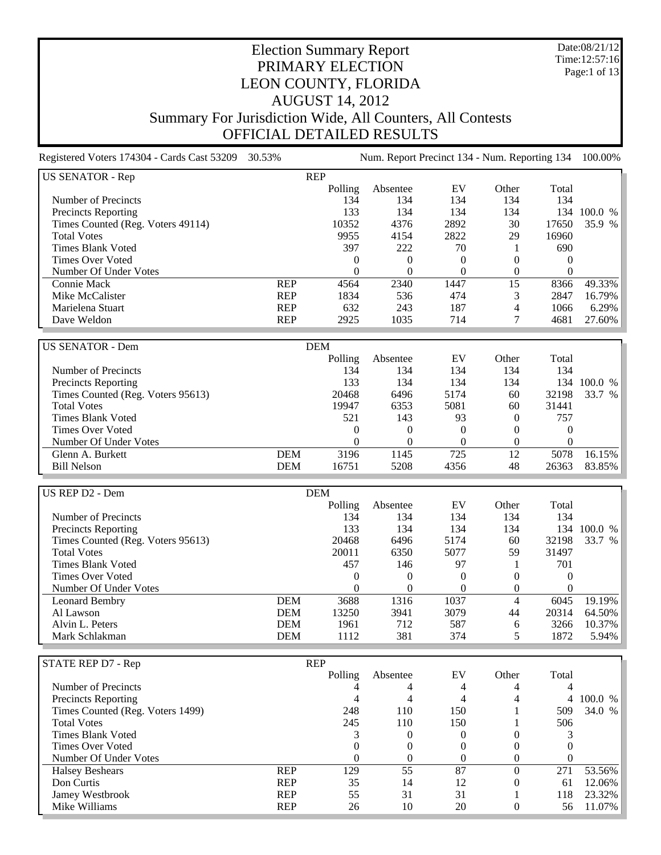Date:08/21/12 Time:12:57:16 Page:1 of 13

# Election Summary Report PRIMARY ELECTION LEON COUNTY, FLORIDA AUGUST 14, 2012 Summary For Jurisdiction Wide, All Counters, All Contests OFFICIAL DETAILED RESULTS

Registered Voters 174304 - Cards Cast 53209 30.53% Num. Report Precinct 134 - Num. Reporting 134 100.00% US SENATOR - Rep REP Polling Absentee EV Other Total Number of Precincts 134 134 134 134 134 Precincts Reporting 133 134 134 134 134 100.0 % Times Counted (Reg. Voters 49114) 10352 4376 2892 30 17650 35.9 % Total Votes 9955 4154 2822 29 16960 Times Blank Voted 397 222 70 1 690 Times Over Voted and the contract of the contract of the contract of the contract of the contract of the contract of the contract of the contract of the contract of the contract of the contract of the contract of the contr Number Of Under Votes 0 0 0 0 0 Connie Mack REP 4564 2340 1447 15 8366 49.33% Mike McCalister **REP** 1834 536 474 3 2847 16.79% Marielena Stuart REP 632 243 187 4 1066 6.29% Dave Weldon REP 2925 1035 714 7 4681 27.60% US SENATOR - Dem DEM Polling Absentee EV Other Total Number of Precincts 2008 134 134 134 134 134 134 134 134 Precincts Reporting 133 134 134 134 134 100.0 %<br>Times Counted (Reg. Voters 95613) 20468 6496 5174 60 32198 33.7 % Times Counted (Reg. Voters 95613)<br>
Total Votes<br>
Total Votes<br>  $19947$ <br>  $6353$ <br>  $5081$ <br>  $5081$ <br>  $5081$ <br>  $60$ <br>  $31441$ Total Votes 19947 6353 5081 60 31441 Times Blank Voted 521 143 93 0 757 Times Over Voted and the contract of the contract of the contract of the contract of the contract of the contract of the contract of the contract of the contract of the contract of the contract of the contract of the contr Number Of Under Votes 0 0 0 0 0 Glenn A. Burkett DEM 3196 1145 725 12 5078 16.15%

| US REP D2 - Dem                   |            | <b>DEM</b> |          |          |          |          |         |
|-----------------------------------|------------|------------|----------|----------|----------|----------|---------|
|                                   |            | Polling    | Absentee | EV       | Other    | Total    |         |
| Number of Precincts               |            | 134        | 134      | 134      | 134      | 134      |         |
| <b>Precincts Reporting</b>        |            | 133        | 134      | 134      | 134      | 134      | 100.0 % |
| Times Counted (Reg. Voters 95613) |            | 20468      | 6496     | 5174     | 60       | 32198    | 33.7 %  |
| <b>Total Votes</b>                |            | 20011      | 6350     | 5077     | 59       | 31497    |         |
| Times Blank Voted                 |            | 457        | 146      | 97       |          | 701      |         |
| Times Over Voted                  |            |            |          | $\theta$ | $\Omega$ | $\Omega$ |         |
| Number Of Under Votes             |            |            |          |          |          | $\Omega$ |         |
| Leonard Bembry                    | <b>DEM</b> | 3688       | 1316     | 1037     |          | 6045     | 19.19%  |
| Al Lawson                         | <b>DEM</b> | 13250      | 3941     | 3079     | 44       | 20314    | 64.50%  |
| Alvin L. Peters                   | <b>DEM</b> | 1961       | 712      | 587      | 6        | 3266     | 10.37%  |
| Mark Schlakman                    | <b>DEM</b> | 1112       | 381      | 374      |          | 1872     | 5.94%   |

Bill Nelson DEM 16751 5208 4356 48 26363 83.85%

| STATE REP D7 - Rep               |            | <b>REP</b> |          |          |       |          |           |
|----------------------------------|------------|------------|----------|----------|-------|----------|-----------|
|                                  |            | Polling    | Absentee | EV       | Other | Total    |           |
| Number of Precincts              |            |            |          |          |       |          |           |
| Precincts Reporting              |            |            |          |          |       |          | 4 100.0 % |
| Times Counted (Reg. Voters 1499) |            | 248        | 110      | 150      |       | 509      | 34.0 %    |
| <b>Total Votes</b>               |            | 245        | 110      | 150      |       | 506      |           |
| <b>Times Blank Voted</b>         |            |            |          |          |       |          |           |
| <b>Times Over Voted</b>          |            |            |          |          |       |          |           |
| Number Of Under Votes            |            | $\left($   |          | $^{(1)}$ |       | $\theta$ |           |
| <b>Halsey Beshears</b>           | <b>REP</b> | 129        | 55       | 87       |       | 271      | 53.56%    |
| Don Curtis                       | <b>REP</b> | 35         | 14       | 12       |       | 61       | 12.06%    |
| Jamey Westbrook                  | <b>REP</b> | 55         | 31       | 31       |       | 118      | 23.32%    |
| Mike Williams                    | <b>REP</b> | 26         | 10       | 20       |       | 56       | 11.07%    |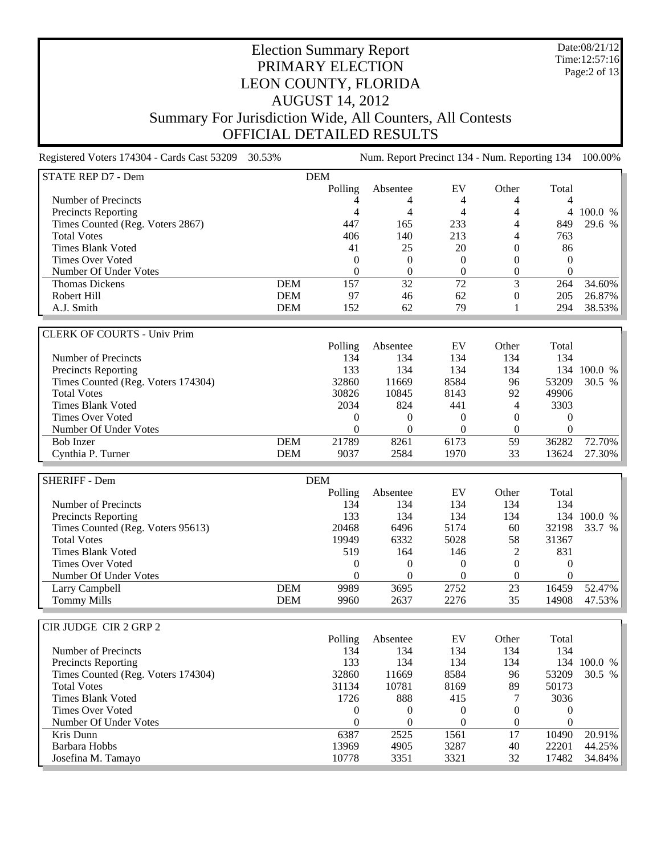Date:08/21/12 Time:12:57:16 Page:2 of 13

#### Election Summary Report PRIMARY ELECTION LEON COUNTY, FLORIDA AUGUST 14, 2012 Summary For Jurisdiction Wide, All Counters, All Contests OFFICIAL DETAILED RESULTS

Registered Voters 174304 - Cards Cast 53209 30.53% Num. Report Precinct 134 - Num. Reporting 134 100.00% STATE REP D7 - Dem DEM Polling Absentee EV Other Total Number of Precincts  $\begin{array}{ccccccccc}\n4 & 4 & 4 & 4 & 4\n\end{array}$ Precincts Reporting 4 4 4 4 4 100.0 % Times Counted (Reg. Voters 2867) 447 165 233 4 849 Total Votes 2008 140 213 4 763 Times Blank Voted 641 25 20 0 86 Times Over Voted and the contract of the contract of the contract of the contract of the contract of the contract of the contract of the contract of the contract of the contract of the contract of the contract of the contr Number Of Under Votes 0 0 0 0 0 Thomas Dickens **DEM** 157 32 72 3 264 34.60%<br>
Robert Hill **DEM** 97 46 62 0 205 26.87% Robert Hill **DEM** 97 46 62 0 205 26.87% A.J. Smith 294 38.53% DEM 152 62 79 1 294 38.53% CLERK OF COURTS - Univ Prim Polling Absentee EV Other Total Number of Precincts 134 134 134 134 134 Precincts Reporting Times Counted (Reg. Voters 174304) 32860 11669 8584 96 53209 30.5 % Total Votes 30826 10845 8143 92 49906 Times Blank Voted 2034 824 441 4 3303 Times Over Voted and the contract of the contract of the contract of the contract of the contract of the contract of the contract of the contract of the contract of the contract of the contract of the contract of the contr Number Of Under Votes 0 0 0 0 0 Bob Inzer DEM 21789 8261 6173 59 36282 72.70% Cynthia P. Turner DEM 9037 2584 1970 33 13624 27.30% SHERIFF - Dem DEM Polling Absentee EV Other Total Number of Precincts 134 134 134 134 134 Precincts Reporting Times Counted (Reg. Voters 95613)<br>
Total Votes<br>
Total Votes<br>
20468<br>
20468<br>
20468<br>
20468<br>
6496<br>
5174<br>
60<br>
5174<br>
58<br>
31367<br>
5174<br>
58<br>
31367 Total Votes 19949 6332 5028 58 31367 Times Blank Voted 519 164 146 2 831 Times Over Voted and the contract of the contract of the contract of the contract of the contract of the contract of the contract of the contract of the contract of the contract of the contract of the contract of the contr Number Of Under Votes 0 0 0 0 0 Larry Campbell **DEM** 9989 3695 2752 23 16459 52.47% Tommy Mills **DEM** 9960 2637 2276 35 14908 47.53% CIR JUDGE CIR 2 GRP 2 Polling Absentee EV Other Total Number of Precincts<br>
Precincts Renorting<br>
134 134 134 134 134 134<br>
134 134 134 134 Precincts Reporting 133 134 134 134 100.0 % Times Counted (Reg. Voters 174304) 32860 11669 8584 96 53209 30.5 % Total Votes 31134 10781 8169 89 50173 Times Blank Voted **1726** 888 415 7 3036 Times Over Voted and the contract of the contract of the contract of the contract of the contract of the contract of the contract of the contract of the contract of the contract of the contract of the contract of the contr Number Of Under Votes 0 0 0 0 0 Kris Dunn 10490 20.91% (1980) 2009 12:58 2525 1561 17 10490 20.91% Barbara Hobbs 13969 4905 3287 40 22201 44.25% Josefina M. Tamayo 10778 3351 3321 32 17482 34.84%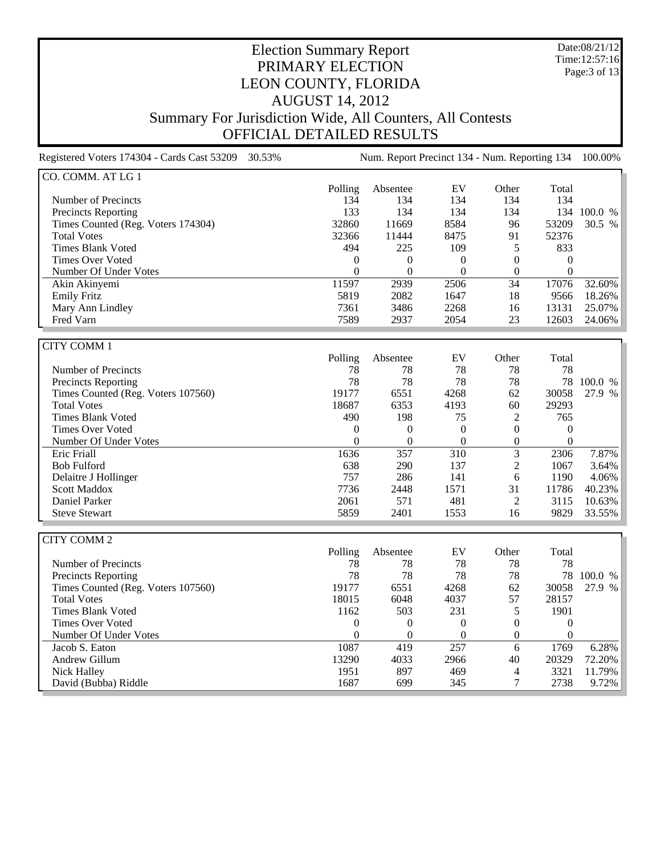Date:08/21/12 Time:12:57:16 Page:3 of 13

# Election Summary Report PRIMARY ELECTION LEON COUNTY, FLORIDA AUGUST 14, 2012 Summary For Jurisdiction Wide, All Counters, All Contests OFFICIAL DETAILED RESULTS

Registered Voters 174304 - Cards Cast 53209 30.53% Num. Report Precinct 134 - Num. Reporting 134 100.00%

| CO. COMM. AT LG 1                  |         |          |          |          |       |         |
|------------------------------------|---------|----------|----------|----------|-------|---------|
|                                    | Polling | Absentee | EV       | Other    | Total |         |
| Number of Precincts                | 134     | 134      | 134      | 134      | 134   |         |
| <b>Precincts Reporting</b>         | 133     | 134      | 134      | 134      | 134   | 100.0 % |
| Times Counted (Reg. Voters 174304) | 32860   | 11669    | 8584     | 96       | 53209 | 30.5 %  |
| <b>Total Votes</b>                 | 32366   | 11444    | 8475     | 91       | 52376 |         |
| Times Blank Voted                  | 494     | 225      | 109      |          | 833   |         |
| Times Over Voted                   | 0       | $\theta$ | $\Omega$ | $\theta$ | 0     |         |
| Number Of Under Votes              | 0       |          | $\theta$ | $\theta$ | 0     |         |
| Akin Akinyemi                      | 11597   | 2939     | 2506     | 34       | 17076 | 32.60%  |
| <b>Emily Fritz</b>                 | 5819    | 2082     | 1647     | 18       | 9566  | 18.26%  |
| Mary Ann Lindley                   | 7361    | 3486     | 2268     | 16       | 13131 | 25.07%  |
| Fred Varn                          | 7589    | 2937     | 2054     | 23       | 12603 | 24.06%  |

| <b>CITY COMM1</b>                  |          |          |      |                |          |         |
|------------------------------------|----------|----------|------|----------------|----------|---------|
|                                    | Polling  | Absentee | EV   | Other          | Total    |         |
| Number of Precincts                | 78       | 78       | 78   | 78             | 78       |         |
| <b>Precincts Reporting</b>         | 78       | 78       | 78   | 78             | 78       | 100.0 % |
| Times Counted (Reg. Voters 107560) | 19177    | 6551     | 4268 | 62             | 30058    | 27.9 %  |
| <b>Total Votes</b>                 | 18687    | 6353     | 4193 | 60             | 29293    |         |
| Times Blank Voted                  | 490      | 198      | 75   | $\mathfrak{D}$ | 765      |         |
| Times Over Voted                   | $\Omega$ | $\Omega$ | 0    | $\Omega$       | $\theta$ |         |
| Number Of Under Votes              | $\Omega$ | $\Omega$ | 0    | $\Omega$       | $\Omega$ |         |
| Eric Friall                        | 1636     | 357      | 310  | 3              | 2306     | 7.87%   |
| <b>Bob Fulford</b>                 | 638      | 290      | 137  | 2              | 1067     | 3.64%   |
| Delaitre J Hollinger               | 757      | 286      | 141  | 6              | 1190     | 4.06%   |
| <b>Scott Maddox</b>                | 7736     | 2448     | 1571 | 31             | 11786    | 40.23%  |
| Daniel Parker                      | 2061     | 571      | 481  | റ              | 3115     | 10.63%  |
| <b>Steve Stewart</b>               | 5859     | 2401     | 1553 | 16             | 9829     | 33.55%  |

| CITY COMM 2                        |          |          |          |          |       |              |
|------------------------------------|----------|----------|----------|----------|-------|--------------|
|                                    | Polling  | Absentee | EV       | Other    | Total |              |
| Number of Precincts                | 78       | 78       | 78       | 78       | 78    |              |
| <b>Precincts Reporting</b>         | 78       | 78       | 78       | 78       | 78    | 100.0 %      |
| Times Counted (Reg. Voters 107560) | 19177    | 6551     | 4268     | 62       | 30058 | 27.9<br>$\%$ |
| <b>Total Votes</b>                 | 18015    | 6048     | 4037     | 57       | 28157 |              |
| Times Blank Voted                  | 1162     | 503      | 231      |          | 1901  |              |
| Times Over Voted                   | $\theta$ | $\theta$ | $\Omega$ | $^{(1)}$ |       |              |
| Number Of Under Votes              | $\left($ |          | 0        | 0        | 0     |              |
| Jacob S. Eaton                     | 1087     | 419      | 257      | 6        | 1769  | 6.28%        |
| Andrew Gillum                      | 13290    | 4033     | 2966     | 40       | 20329 | 72.20%       |
| Nick Halley                        | 1951     | 897      | 469      | 4        | 3321  | 11.79%       |
| David (Bubba) Riddle               | 1687     | 699      | 345      |          | 2738  | 9.72%        |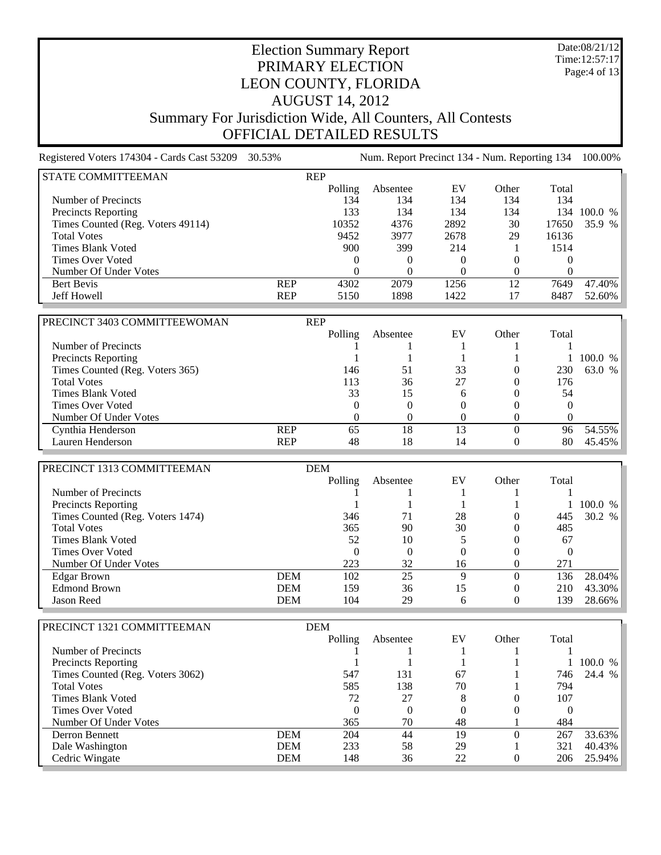Date:08/21/12 Time:12:57:17 Page:4 of 13

#### Election Summary Report PRIMARY ELECTION LEON COUNTY, FLORIDA AUGUST 14, 2012 Summary For Jurisdiction Wide, All Counters, All Contests OFFICIAL DETAILED RESULTS

Registered Voters 174304 - Cards Cast 53209 30.53% Num. Report Precinct 134 - Num. Reporting 134 100.00% STATE COMMITTEEMAN REP Polling Absentee EV Other Total Number of Precincts 134 134 134 134 134 Precincts Reporting 133 134 134 134 134 100.0 %<br>Times Counted (Reg. Voters 49114) 10352 4376 2892 30 17650 35.9 % Times Counted (Reg. Voters 49114) 10352 4376 2892 30 Total Votes 9452 3977 2678 29 16136 Times Blank Voted 514 1 1514 900 399 214 1 1514 Times Over Voted and the contract of the contract of the contract of the contract of the contract of the contract of the contract of the contract of the contract of the contract of the contract of the contract of the contr Number Of Under Votes<br>
Bert Bevis<br>
REP  $\begin{array}{ccc} 0 & 0 & 0 & 0 \\ 4302 & 2079 & 1256 & 12 \\ 7649 & 2079 & 1256 \end{array}$ Bert Bevis REP 4302 2079 1256 12 7649 47.40% Jeff Howell REP 5150 1898 1422 17 8487 52.60% PRECINCT 3403 COMMITTEEWOMAN REP Polling Absentee EV Other Total Number of Precincts and the contract of Precincts and the contract of the contract of  $1 \t 1 \t 1 \t 1 \t 1$ Precincts Reporting 1 1 1 1 100.0 %<br>
Times Counted (Reg. Voters 365) 146 51 33 0 230 63.0 % Times Counted (Reg. Voters 365) 146 51 33 0 230 63.0 % Total Votes 27 0 176 Times Blank Voted 54 and 53 15 6 0 54 Times Over Voted and the contract of the contract of the contract of the contract of the contract of the contract of the contract of the contract of the contract of the contract of the contract of the contract of the contr Number Of Under Votes 0 0 0 0 0 Cynthia Henderson **REP** 65 18 13 0 96 54.55% Lauren Henderson **REP** 48 18 14 0 80 45.45% PRECINCT 1313 COMMITTEEMAN DEM Polling Absentee EV Other Total Number of Precincts 1 1 1 1 1 Precincts Reporting 1 1 1 1 100.0 %<br>
Times Counted (Reg. Voters 1474) 346 71 28 0 445 30.2 % Times Counted (Reg. Voters 1474)<br>Total Votes Total Votes 200 30 0 485 Times Blank Voted 52 10 5 0 67 Times Over Voted 0 0 0 0 0 Number Of Under Votes 223 32 16 0<br>Edgar Brown DEM 102 25 9 0 Edgar Brown DEM 102 25 9 0 136 28.04% Edmond Brown DEM 159 36 15 0 210 43.30% Jason Reed DEM 104 29 6 0 139 28.66% PRECINCT 1321 COMMITTEEMAN DEM Polling Absentee EV Other Total Number of Precincts  $\begin{array}{ccccccccc}\n1 & 1 & 1 & 1 & 1\n\end{array}$ Precincts Reporting 1 1 1 1 1 100.0 % Times Counted (Reg. Voters 3062) 547 131 67 1 746 24.4 % Total Votes 585 138 70 1 794 Times Blank Voted 22 27 8 0 107 Times Over Voted 0 0 0 0 0 Number Of Under Votes 365 70 48 1 Derron Bennett DEM 204 44 19 0 267 33.63% Dale Washington **DEM** 233 58 29 1 321 40.43% Cedric Wingate **DEM** 148 36 22 0 206 25.94%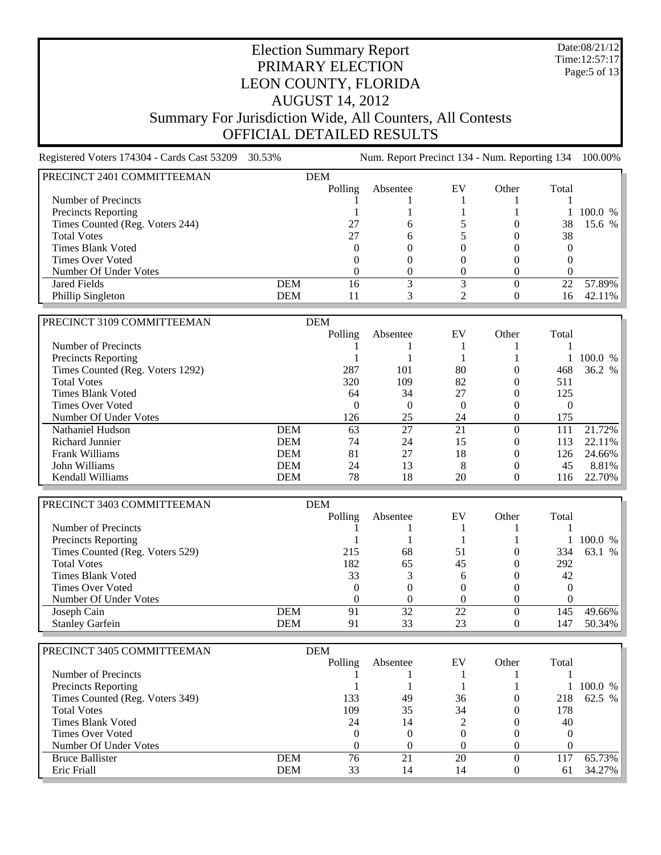Date:08/21/12 Time:12:57:17 Page:5 of 13

# Election Summary Report PRIMARY ELECTION LEON COUNTY, FLORIDA AUGUST 14, 2012 Summary For Jurisdiction Wide, All Counters, All Contests OFFICIAL DETAILED RESULTS

Registered Voters 174304 - Cards Cast 53209 30.53% Num. Report Precinct 134 - Num. Reporting 134 100.00% PRECINCT 2401 COMMITTEEMAN DEM Polling Absentee EV Other Total Number of Precincts  $\begin{array}{ccccccccc}\n1 & 1 & 1 & 1 & 1 \\
1 & & & 1 & 1\n\end{array}$ Precincts Reporting 1 1 1 1 100.0 %<br>
Times Counted (Reg. Voters 244) 27 6 5 0 38 15.6 % Times Counted (Reg. Voters 244) 27 6 5 0 38 Total Votes  $27$  6  $5$  0 38 Times Blank Voted  $0 \t 0 \t 0 \t 0$  0 0 0 Times Over Voted and the contract of the contract of the contract of the contract of the contract of the contract of the contract of the contract of the contract of the contract of the contract of the contract of the contr Number Of Under Votes 0 0 0 0 0 Jared Fields DEM 16 3 3 0 22 57.89% Phillip Singleton **DEM** 11 3 2 0 16 42.11% PRECINCT 3109 COMMITTEEMAN DEM DEM POlling Absentee EV Other Total Number of Precincts and the contract of Precincts and the contract of the contract of  $1 \t 1 \t 1 \t 1 \t 1$ Precincts Reporting 1 1 1 1 100.0 %<br>
Times Counted (Reg. Voters 1292) 287 101 80 0 468 36.2 % Times Counted (Reg. Voters 1292) 287 101 80 0 468 Total Votes 320 109 82 0 511 Times Blank Voted **64** 34 27 0 125 Times Over Voted and the contract of the contract of the contract of the contract of the contract of the contract of the contract of the contract of the contract of the contract of the contract of the contract of the contr Number Of Under Votes<br>
Nathaniel Hudson<br>
Nathaniel Hudson<br>
DEM
63 27 21 0 111 Nathaniel Hudson **DEM** 63 27 21 0 111 21.72% Richard Junnier DEM 74 24 15 0 113 22.11% Frank Williams **DEM** 81 27 18 0 126 24.66% John Williams DEM 24 13 8 0 45 8.81% Kendall Williams **DEM** 78 18 20 0 116 22.70% PRECINCT 3403 COMMITTEEMAN DEM DEM POlling Absentee EV Other Total Number of Precincts 1 1 1 1 1 Precincts Reporting<br>
Times Counted (Reg. Voters 529)<br>
215 68 51 0 334 63.1 % Times Counted (Reg. Voters 529) Total Votes 65 0 292 Times Blank Voted 33 3 6 0 42<br>Times Over Voted 33 3 6 0 42 Times Over Voted Number Of Under Votes<br>
Joseph Cain<br>
DEM
DEM
191 32 22 0 145 Joseph Cain DEM 91 32 22 0 145 49.66% Stanley Garfein **DEM** 91 33 23 0 147 50.34% PRECINCT 3405 COMMITTEEMAN DEM Polling Absentee EV Other Total Number of Precincts 1 1 1 1 1 Precincts Reporting 1 1 1 1 1 100.0 % Times Counted (Reg. Voters 349) 133 49 36 0 218 62.5 % Total Votes 109 35 34 0 178 Times Blank Voted 24  $14$  2 0  $40$ Times Over Voted and the contract of the contract of the contract of the contract of the contract of the contract of the contract of the contract of the contract of the contract of the contract of the contract of the contr Number Of Under Votes 0 0 0 0 0 Bruce Ballister **DEM** 76 21 20 0 117 65.73% Eric Friall **DEM** 33 14 14 0 61 34.27%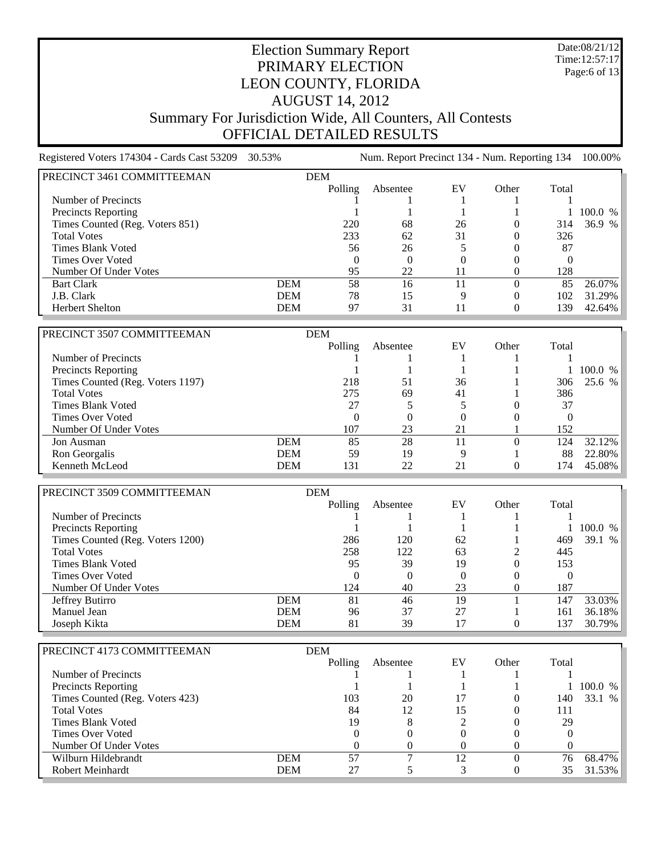Date:08/21/12 Time:12:57:17 Page:6 of 13

# Election Summary Report PRIMARY ELECTION LEON COUNTY, FLORIDA AUGUST 14, 2012 Summary For Jurisdiction Wide, All Counters, All Contests OFFICIAL DETAILED RESULTS

Registered Voters 174304 - Cards Cast 53209 30.53% Num. Report Precinct 134 - Num. Reporting 134 100.00% PRECINCT 3461 COMMITTEEMAN DEM Polling Absentee EV Other Total Number of Precincts 1 1 1 1 1 Precincts Reporting 1 1 1 1 100.0 %<br>
Times Counted (Reg. Voters 851) 220 68 26 0 314 36.9 % Times Counted (Reg. Voters 851) 220 68 26 0 Total Votes 233 62 31 0 326 Times Blank Voted 56 5 0 87 Times Over Voted and the contract of the contract of the contract of the contract of the contract of the contract of the contract of the contract of the contract of the contract of the contract of the contract of the contr Number Of Under Votes 95 22 11 0 128 Bart Clark 11 0 85 26.07% J.B. Clark DEM 78 15 9 0 102 31.29% Herbert Shelton **DEM** 97 31 11 0 139 42.64%

| PRECINCT 3507 COMMITTEEMAN       |            | <b>DEM</b> |          |     |       |       |           |
|----------------------------------|------------|------------|----------|-----|-------|-------|-----------|
|                                  |            | Polling    | Absentee | EV  | Other | Total |           |
| Number of Precincts              |            |            |          |     |       |       |           |
| <b>Precincts Reporting</b>       |            |            |          |     |       |       | 100.0 %   |
| Times Counted (Reg. Voters 1197) |            | 218        | 51       | 36  |       | 306   | 25.6 %    |
| <b>Total Votes</b>               |            | 275        | 69       | 41  |       | 386   |           |
| Times Blank Voted                |            | 27         |          |     |       | 37    |           |
| Times Over Voted                 |            | $\theta$   |          |     |       |       |           |
| Number Of Under Votes            |            | 107        | 23       | 21  |       | 152   |           |
| Jon Ausman                       | <b>DEM</b> | 85         | 28       | l 1 |       | 124   | $32.12\%$ |
| Ron Georgalis                    | <b>DEM</b> | 59         | 19       | Q   |       | 88    | $22.80\%$ |
| Kenneth McLeod                   | DEM        | 131        | 22       | 21  |       | 74    | $45.08\%$ |

| PRECINCT 3509 COMMITTEEMAN       |            | <b>DEM</b> |          |    |       |       |              |
|----------------------------------|------------|------------|----------|----|-------|-------|--------------|
|                                  |            | Polling    | Absentee | EV | Other | Total |              |
| Number of Precincts              |            |            |          |    |       |       |              |
| <b>Precincts Reporting</b>       |            |            |          |    |       |       | 100.0 %      |
| Times Counted (Reg. Voters 1200) |            | 286        | 120      | 62 |       | 469   | 39.1<br>$\%$ |
| <b>Total Votes</b>               |            | 258        | 122      | 63 |       | 445   |              |
| Times Blank Voted                |            | 95         | 39       | 19 |       | 153   |              |
| Times Over Voted                 |            | 0          |          |    |       |       |              |
| Number Of Under Votes            |            | 124        | 40       | 23 |       | 187   |              |
| Jeffrey Butirro                  | <b>DEM</b> | 81         | 46       | 19 |       | 147   | 33.03%       |
| Manuel Jean                      | <b>DEM</b> | 96         | 37       | 27 |       | 161   | 36.18%       |
| Joseph Kikta                     | <b>DEM</b> | 81         | 39       | 17 |       | 137   | 30.79%       |

| PRECINCT 4173 COMMITTEEMAN      |            | <b>DEM</b> |          |    |       |       |                          |
|---------------------------------|------------|------------|----------|----|-------|-------|--------------------------|
|                                 |            | Polling    | Absentee | EV | Other | Total |                          |
| Number of Precincts             |            |            |          |    |       |       |                          |
| <b>Precincts Reporting</b>      |            |            |          |    |       |       | 1 100.0<br>$\frac{0}{6}$ |
| Times Counted (Reg. Voters 423) |            | 103        | 20       | 17 |       | 140   | 33.1<br>$\%$             |
| <b>Total Votes</b>              |            | 84         | 12       | 15 |       | 111   |                          |
| Times Blank Voted               |            | 19         |          |    |       | 29    |                          |
| Times Over Voted                |            |            |          |    |       |       |                          |
| Number Of Under Votes           |            |            |          |    |       |       |                          |
| Wilburn Hildebrandt             | <b>DEM</b> | 57         |          | 12 |       | 76    | 68.47%                   |
| Robert Meinhardt                | <b>DEM</b> | 27         |          |    |       | 35    | 31.53%                   |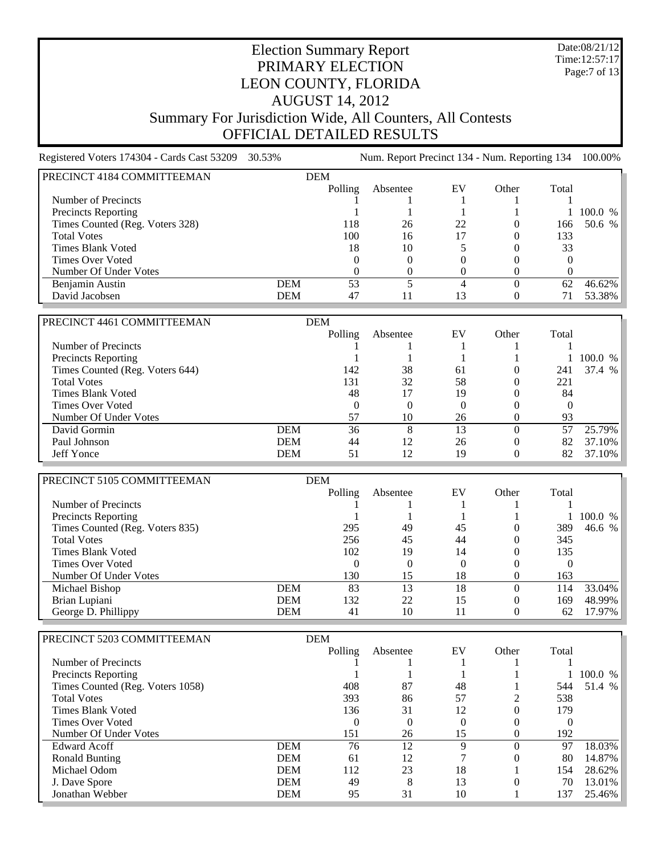Date:08/21/12 Time:12:57:17 Page:7 of 13

## Election Summary Report PRIMARY ELECTION LEON COUNTY, FLORIDA AUGUST 14, 2012 Summary For Jurisdiction Wide, All Counters, All Contests OFFICIAL DETAILED RESULTS

Registered Voters 174304 - Cards Cast 53209 30.53% Num. Report Precinct 134 - Num. Reporting 134 100.00% PRECINCT 4184 COMMITTEEMAN DEM<br>Polling Absentee EV Other Total Number of Precincts  $\begin{array}{ccccccccc}\n1 & 1 & 1 & 1 & 1 \\
1 & & & 1 & 1\n\end{array}$ Precincts Reporting 1 1 1 1 100.0 %<br>
Times Counted (Reg. Voters 328) 118 26 22 0 166 50.6 % Times Counted (Reg. Voters 328) 118 26 22 0 166 Total Votes 100 16 17 0 133 Times Blank Voted 18 10 5 0 33 Times Over Voted and the contract of the contract of the contract of the contract of the contract of the contract of the contract of the contract of the contract of the contract of the contract of the contract of the contr Number Of Under Votes 0 0 0 0 0 Benjamin Austin **DEM** 53 5 4 0 62 46.62% <br>David Jacobsen **DEM** 47 11 13 0 71 53.38% David Jacobsen **DEM** 47 11 13 0 PRECINCT 4461 COMMITTEEMAN DEM DEM POlling Absentee EV Other Total Number of Precincts and the contract of Precincts and the contract of the contract of  $1 \t 1 \t 1 \t 1 \t 1$ Precincts Reporting 1 1 1 1 1 100.0 %<br>
Times Counted (Reg. Voters 644) 142 38 61 0 241 37.4 % Times Counted (Reg. Voters 644) 142 38 61 0 241 Total Votes 6 131 32 58 0 221 Times Blank Voted **18 17** 19 19 0 84 Times Over Voted and the contract of the contract of the contract of the contract of the contract of the contract of the contract of the contract of the contract of the contract of the contract of the contract of the contr Number Of Under Votes 67 10 26 0 93 David Gormin **DEM** 36 8 13 0 57 25.79% Paul Johnson DEM 44 12 26 0 82 37.10% Jeff Yonce DEM 51 12 19 0 82 37.10% PRECINCT 5105 COMMITTEEMAN DEM Polling Absentee EV Other Total Number of Precincts 1 1 1 1 1 Precincts Reporting 1 1 1 1 1 100.0 % Times Counted (Reg. Voters 835) 295 49 45 0 389 46.6 %<br>
256 45 44 0 345 Total Votes 256 45 44 0 345 Times Blank Voted 102 19 14 0 135 Times Over Voted 0 0 0 0 0 Number Of Under Votes<br>
Michael Bishop<br>
Nichael Bishop<br>
DEM
83 13 18 0 114 Michael Bishop **DEM** 83 13 18 0 114 33.04% Brian Lupiani DEM 132 22 15 0 169 48.99% George D. Phillippy DEM 41 10 11 PRECINCT 5203 COMMITTEEMAN DEM Polling Absentee EV Other Total Number of Precincts  $\begin{array}{ccccccccc}\n1 & 1 & 1 & 1 & 1\n\end{array}$ Precincts Reporting 1 1 1 1 1 100.0 % Times Counted (Reg. Voters 1058) 408 87 48 1 544 51.4 % Total Votes 393 86 57 2 538 Times Blank Voted 136 136 31 12 0 179 Times Over Voted and the contract of the contract of the contract of the contract of the contract of the contract of the contract of the contract of the contract of the contract of the contract of the contract of the contr Number Of Under Votes 151 26 15 0 192 Edward Acoff DEM 76 12 9 0 97 18.03% Ronald Bunting **DEM** 61 12 7 0 80 14.87% Michael Odom **DEM** 112 23 18 1 154 28.62% J. Dave Spore DEM 49 8 13 0 70 13.01% Jonathan Webber **DEM** 95 31 10 1 137 25.46%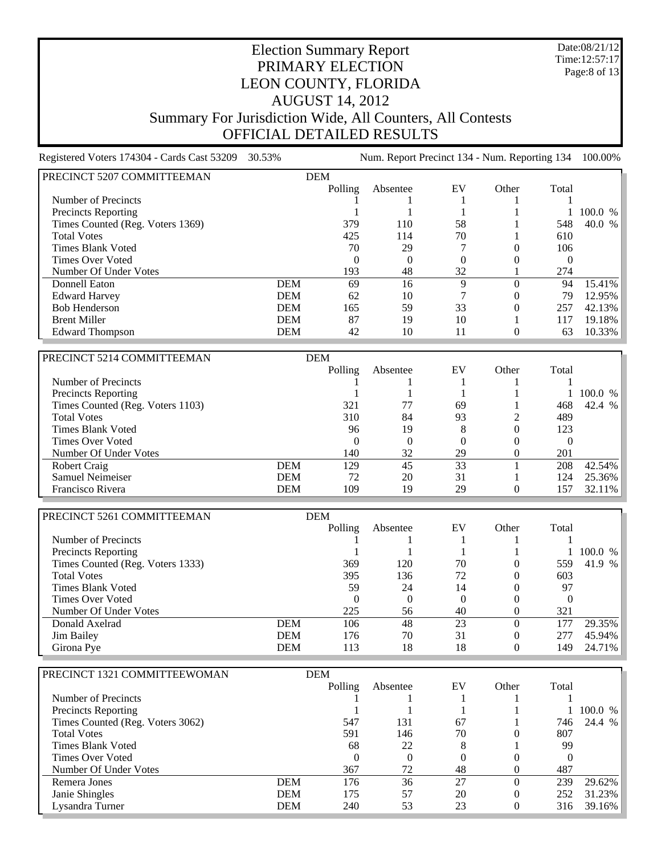Date:08/21/12 Time:12:57:17 Page:8 of 13

## Election Summary Report PRIMARY ELECTION LEON COUNTY, FLORIDA AUGUST 14, 2012 Summary For Jurisdiction Wide, All Counters, All Contests OFFICIAL DETAILED RESULTS

Registered Voters 174304 - Cards Cast 53209 30.53% Num. Report Precinct 134 - Num. Reporting 134 100.00% PRECINCT 5207 COMMITTEEMAN DEM Polling Absentee EV Other Total Number of Precincts 1 1 1 1 1 Precincts Reporting 1 1 1 1 100.0 %<br>
Times Counted (Reg. Voters 1369) 379 110 58 1 548 40.0 % Times Counted (Reg. Voters 1369) 379 110 58 1 548  $\frac{1}{10}$  Total Votes  $\frac{425}{114}$   $\frac{70}{1}$   $\frac{1}{10}$   $\frac{610}{10}$ Times Blank Voted 20 29 7 0 106 Times Over Voted 0 0 0 0 0 Number Of Under Votes 193 48 32 1 274 16 16 Donnell Eaton<br>
2 16 16 9 0 94 15.41%<br>
2 10 7 0 79 12.95% Edward Harvey **DEM** 62 10 7 0 Bob Henderson DEM 165 59 33 0 257 42.13% Brent Miller **DEM** 87 19 10 1 117 19.18% Edward Thompson **DEM** 42 10 11 0 63 10.33%

| PRECINCT 5214 COMMITTEEMAN       |            | <b>DEM</b> |          |    |          |                 |         |
|----------------------------------|------------|------------|----------|----|----------|-----------------|---------|
|                                  |            | Polling    | Absentee | EV | Other    | Total           |         |
| Number of Precincts              |            |            |          |    |          |                 |         |
| <b>Precincts Reporting</b>       |            |            |          |    |          |                 | 100.0 % |
| Times Counted (Reg. Voters 1103) |            | 321        |          | 69 |          | 468             | 42.4 %  |
| <b>Total Votes</b>               |            | 310        | 84       | 93 |          | 489             |         |
| Times Blank Voted                |            | 96         | 19       | 8  | $\theta$ | 123             |         |
| Times Over Voted                 |            | $\Omega$   | 0        |    | $\theta$ |                 |         |
| Number Of Under Votes            |            | 140        | 32       | 29 | $\theta$ | 201             |         |
| Robert Craig                     | <b>DEM</b> | 129        | 45       | 33 |          | 208             | 42.54%  |
| Samuel Neimeiser                 | DEM        | 72         | 20       | 31 |          | 124             | 25.36%  |
| Francisco Rivera                 | DEM        | 109        | 19       | 29 |          | 15 <sup>7</sup> | 32.11%  |

| PRECINCT 5261 COMMITTEEMAN       |            | <b>DEM</b> |          |    |       |       |              |
|----------------------------------|------------|------------|----------|----|-------|-------|--------------|
|                                  |            | Polling    | Absentee | EV | Other | Total |              |
| Number of Precincts              |            |            |          |    |       |       |              |
| <b>Precincts Reporting</b>       |            |            |          |    |       |       | 100.0 %      |
| Times Counted (Reg. Voters 1333) |            | 369        | 120      | 70 |       | 559   | 41.9<br>$\%$ |
| <b>Total Votes</b>               |            | 395        | 136      | 72 |       | 603   |              |
| Times Blank Voted                |            | 59         | 24       | 14 |       | 97    |              |
| Times Over Voted                 |            |            |          | 0  |       |       |              |
| Number Of Under Votes            |            | 225        | 56       | 40 |       | 321   |              |
| Donald Axelrad                   | <b>DEM</b> | 106        | 48       | 23 |       |       | 29.35%       |
| Jim Bailey                       | <b>DEM</b> | 176        | 70       | 31 |       |       | 45.94%       |
| Girona Pye                       | <b>DEM</b> | 113        | 18       | 18 |       | 149   | 24.71%       |

| PRECINCT 1321 COMMITTEEWOMAN     |            | <b>DEM</b> |          |    |       |       |              |
|----------------------------------|------------|------------|----------|----|-------|-------|--------------|
|                                  |            | Polling    | Absentee | EV | Other | Total |              |
| Number of Precincts              |            |            |          |    |       |       |              |
| Precincts Reporting              |            |            |          |    |       |       | 100.0 %      |
| Times Counted (Reg. Voters 3062) |            | 547        | 131      | 67 |       | 746   | 24.4<br>$\%$ |
| <b>Total Votes</b>               |            | 591        | 146      | 70 |       | 807   |              |
| <b>Times Blank Voted</b>         |            | 68         | 22       | 8  |       | 99    |              |
| Times Over Voted                 |            | $\theta$   |          | 0  |       |       |              |
| Number Of Under Votes            |            | 367        | 72       | 48 |       | 487   |              |
| Remera Jones                     | <b>DEM</b> | 176        | 36       | 27 |       | 239   | 29.62%       |
| Janie Shingles                   | <b>DEM</b> | 175        | 57       | 20 |       | 252   | 31.23%       |
| Lysandra Turner                  | <b>DEM</b> | 240        | 53       | 23 |       | 316   | 39.16%       |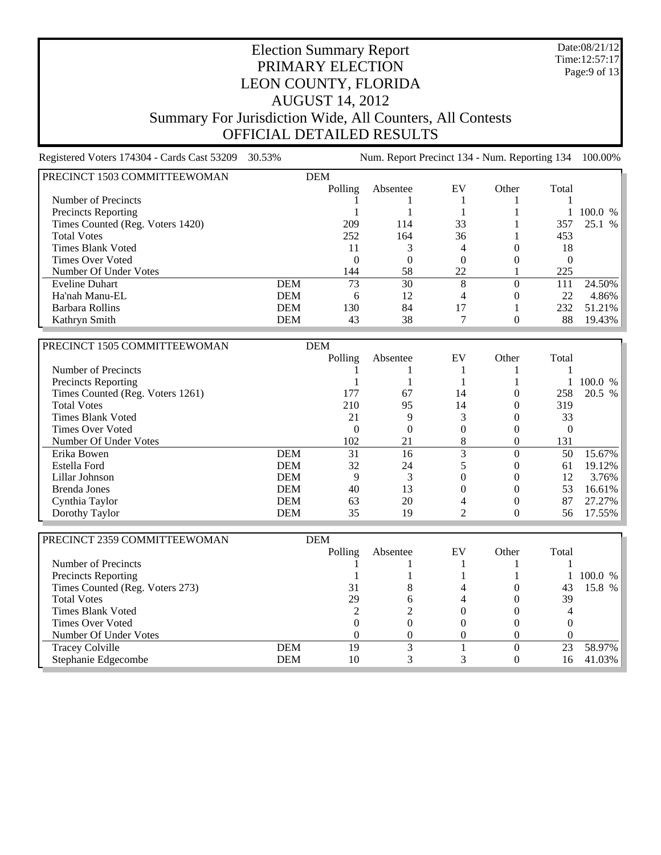Date:08/21/12 Time:12:57:17 Page:9 of 13

## Election Summary Report PRIMARY ELECTION LEON COUNTY, FLORIDA AUGUST 14, 2012 Summary For Jurisdiction Wide, All Counters, All Contests OFFICIAL DETAILED RESULTS

Registered Voters 174304 - Cards Cast 53209 30.53% Num. Report Precinct 134 - Num. Reporting 134 100.00% PRECINCT 1503 COMMITTEEWOMAN DEM Polling Absentee EV Other Total Number of Precincts 1 1 1 1 1 Precincts Reporting 1 1 1 1 100.0 %<br>
Times Counted (Reg. Voters 1420) 209 114 33 1 357 25.1 % Times Counted (Reg. Voters 1420) 209 114 33 1 357 25.1 % Total Votes 252 164 36 1 453 Times Blank Voted 11 3 4 0 18 Times Over Voted 0 0 0 0 0 Number Of Under Votes 144 58 22 1 225 Eveline Duhart **DEM** 73 30 8 0 111 24.50% Ha'nah Manu-EL **DEM** 6 12 4 0 22 4.86% Ha'nah Manu-EL DEM 6 12 4 0 Parbara Rollins **DEM** 130 84 17 1 232 51.21% <br>
Rathryn Smith **DEM** 43 38 7 0 88 19.43% Kathryn Smith

| PRECINCT 1505 COMMITTEEWOMAN     |            | <b>DEM</b> |          |          |          |          |         |
|----------------------------------|------------|------------|----------|----------|----------|----------|---------|
|                                  |            | Polling    | Absentee | EV       | Other    | Total    |         |
| Number of Precincts              |            |            |          |          |          |          |         |
| Precincts Reporting              |            |            |          |          |          |          | 100.0 % |
| Times Counted (Reg. Voters 1261) |            | 177        | 67       | 14       |          | 258      | 20.5 %  |
| <b>Total Votes</b>               |            | 210        | 95       | 14       |          | 319      |         |
| Times Blank Voted                |            | 21         |          |          |          | 33       |         |
| Times Over Voted                 |            | $\Omega$   |          | 0        |          | $\left($ |         |
| Number Of Under Votes            |            | 102        | 21       | 8        | 0        | 131      |         |
| Erika Bowen                      | <b>DEM</b> | 31         | 16       | 3        | 0        | 50       | 15.67%  |
| Estella Ford                     | <b>DEM</b> | 32         | 24       |          |          | 61       | 19.12%  |
| Lillar Johnson                   | <b>DEM</b> | 9          |          | $\Omega$ | $\Omega$ | 12       | 3.76%   |
| Brenda Jones                     | <b>DEM</b> | 40         | 13       | 0        |          | 53       | 16.61%  |
| Cynthia Taylor                   | <b>DEM</b> | 63         | 20       |          |          | 87       | 27.27%  |
| Dorothy Taylor                   | DEM        | 35         | 19       |          |          | 56       | 17.55%  |

| PRECINCT 2359 COMMITTEEWOMAN    |            | <b>DEM</b> |          |              |       |       |              |
|---------------------------------|------------|------------|----------|--------------|-------|-------|--------------|
|                                 |            | Polling    | Absentee | EV           | Other | Total |              |
| Number of Precincts             |            |            |          |              |       |       |              |
| Precincts Reporting             |            |            |          |              |       |       | 100.0 %      |
| Times Counted (Reg. Voters 273) |            | 31         |          |              |       | 43    | 15.8<br>$\%$ |
| <b>Total Votes</b>              |            | 29         |          |              |       | 39    |              |
| <b>Times Blank Voted</b>        |            |            |          | 0            |       |       |              |
| Times Over Voted                |            |            |          |              |       |       |              |
| Number Of Under Votes           |            |            |          | $\mathbf{U}$ |       |       |              |
| <b>Tracey Colville</b>          | <b>DEM</b> | 19         |          |              |       |       | 58.97%       |
| Stephanie Edgecombe             | <b>DEM</b> | 10         |          |              |       | Iб    | 41.03%       |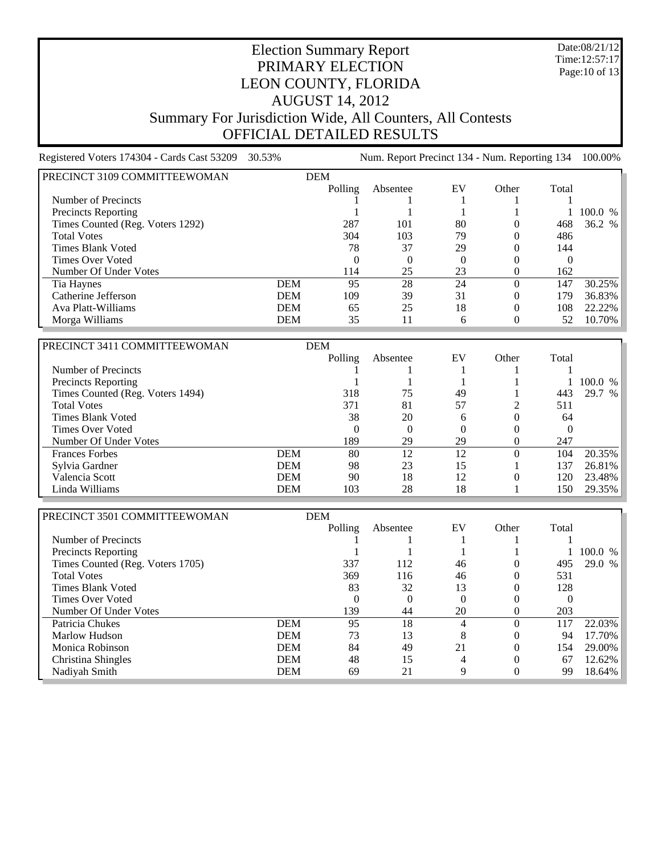Date:08/21/12 Time:12:57:17 Page:10 of 13

## Election Summary Report PRIMARY ELECTION LEON COUNTY, FLORIDA AUGUST 14, 2012 Summary For Jurisdiction Wide, All Counters, All Contests OFFICIAL DETAILED RESULTS

Registered Voters 174304 - Cards Cast 53209 30.53% Num. Report Precinct 134 - Num. Reporting 134 100.00% PRECINCT 3109 COMMITTEEWOMAN DEM Polling Absentee EV Other Total Number of Precincts 1 1 1 1 1 Precincts Reporting 1 1 1 1 1 100.0 % Times Counted (Reg. Voters 1292) 287 101 80 0 468 36.2 % Total Votes 304 103 79 0 486 Times Blank Voted 28 29 0 144 Times Over Voted and the contract of the contract of the contract of the contract of the contract of the contract of the contract of the contract of the contract of the contract of the contract of the contract of the contr Number Of Under Votes 114 25 23 0 162 Tia Haynes DEM 95 28 24 0 147 30.25% Catherine Jefferson **DEM** 109 39 31 0 179 36.83% Ava Platt-Williams DEM 65 25 18 0 108 22.22% Morga Williams **DEM** 35 11 6

| PRECINCT 3411 COMMITTEEWOMAN     |            | <b>DEM</b> |          |                  |       |       |            |
|----------------------------------|------------|------------|----------|------------------|-------|-------|------------|
|                                  |            | Polling    | Absentee | EV               | Other | Total |            |
| Number of Precincts              |            |            |          |                  |       |       |            |
| <b>Precincts Reporting</b>       |            |            |          |                  |       |       | 100.0<br>% |
| Times Counted (Reg. Voters 1494) |            | 318        | 75       | 49               |       | 443   | 29.7<br>%  |
| <b>Total Votes</b>               |            | 371        | 81       | 57               |       | 511   |            |
| Times Blank Voted                |            | 38         | 20       | 6                |       | 64    |            |
| Times Over Voted                 |            | $\theta$   | $\theta$ | $\left( \right)$ |       |       |            |
| Number Of Under Votes            |            | 189        | 29       | 29               |       | 247   |            |
| <b>Frances Forbes</b>            | <b>DEM</b> | 80         | 12       | 12               |       | 104   | 20.35%     |
| Sylvia Gardner                   | <b>DEM</b> | 98         | 23       | 15               |       | 137   | $26.81\%$  |
| Valencia Scott                   | <b>DEM</b> | 90         | 18       | 12               |       | 120   | 23.48%     |
| Linda Williams                   | <b>DEM</b> | 103        | 28       | 18               |       | 150   | 29.35%     |

| PRECINCT 3501 COMMITTEEWOMAN     |            | <b>DEM</b>       |          |                |       |       |         |
|----------------------------------|------------|------------------|----------|----------------|-------|-------|---------|
|                                  |            | Polling          | Absentee | EV             | Other | Total |         |
| Number of Precincts              |            |                  |          |                |       |       |         |
| <b>Precincts Reporting</b>       |            |                  |          |                |       |       | 100.0 % |
| Times Counted (Reg. Voters 1705) |            | 337              | 112      | 46             |       | 495   | 29.0 %  |
| <b>Total Votes</b>               |            | 369              | 116      | 46             |       | 531   |         |
| <b>Times Blank Voted</b>         |            | 83               | 32       | 13             |       | 128   |         |
| Times Over Voted                 |            | $\left( \right)$ | $\theta$ | 0              |       |       |         |
| Number Of Under Votes            |            | 139              | 44       | 20             |       | 203   |         |
| Patricia Chukes                  | <b>DEM</b> | 95               | 18       | 4              |       | 117   | 22.03%  |
| Marlow Hudson                    | <b>DEM</b> | 73               | 13       | 8              |       | 94    | 17.70%  |
| Monica Robinson                  | <b>DEM</b> | 84               | 49       | 21             |       | 154   | 29.00%  |
| Christina Shingles               | <b>DEM</b> | 48               | 15       | $\overline{4}$ |       | 67    | 12.62%  |
| Nadiyah Smith                    | <b>DEM</b> | 69               | 21       | 9              |       | 99    | 18.64%  |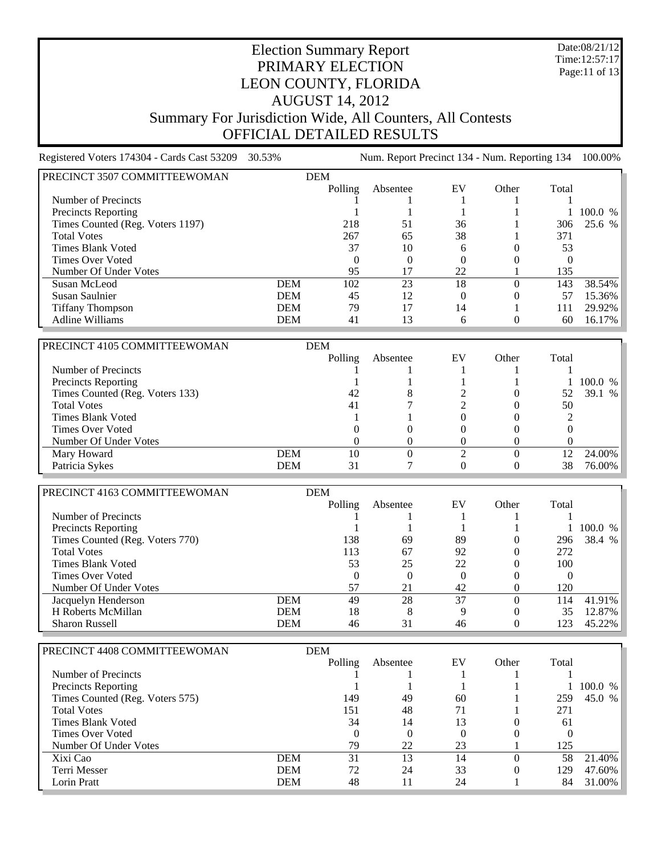Date:08/21/12 Time:12:57:17 Page:11 of 13

# Election Summary Report PRIMARY ELECTION LEON COUNTY, FLORIDA AUGUST 14, 2012 Summary For Jurisdiction Wide, All Counters, All Contests OFFICIAL DETAILED RESULTS

Registered Voters 174304 - Cards Cast 53209 30.53% Num. Report Precinct 134 - Num. Reporting 134 100.00% PRECINCT 3507 COMMITTEEWOMAN DEM Polling Absentee EV Other Total Number of Precincts and the contract of Precincts and the contract of the contract of  $1 \t 1 \t 1 \t 1 \t 1$ Precincts Reporting 1 1 1 1 1 100.0 % Times Counted (Reg. Voters 1197) 218 51 36 1 306 25.6 % Total Votes 267 65 38 1 371 Times Blank Voted 37 10 6 0 53 Times Over Voted and the contract of the contract of the contract of the contract of the contract of the contract of the contract of the contract of the contract of the contract of the contract of the contract of the contr Number Of Under Votes 95 17 22 1 135 Susan McLeod **DEM** 102 23 18 0 143 38.54% Susan Saulnier **DEM** 45 12 0 0 57 15.36% Susan Saulnier **DEM** 45 12 0 0 57 Tiffany Thompson DEM 79 17 14 1 111 29.92% Adline Williams **DEM**  $41$  13 6

| PRECINCT 4105 COMMITTEEWOMAN    |            | <b>DEM</b> |          |    |          |       |         |
|---------------------------------|------------|------------|----------|----|----------|-------|---------|
|                                 |            | Polling    | Absentee | EV | Other    | Total |         |
| Number of Precincts             |            |            |          |    |          |       |         |
| <b>Precincts Reporting</b>      |            |            |          |    |          |       | 100.0 % |
| Times Counted (Reg. Voters 133) |            | 42         | 8        |    | $\theta$ |       | 39.1 %  |
| <b>Total Votes</b>              |            | 41         |          |    |          | 50    |         |
| <b>Times Blank Voted</b>        |            |            |          |    |          |       |         |
| Times Over Voted                |            |            |          |    |          |       |         |
| Number Of Under Votes           |            |            |          |    |          |       |         |
| Mary Howard                     | <b>DEM</b> | 10         |          |    |          |       | 24.00%  |
| Patricia Sykes                  | DEM        | 31         |          |    |          | 38    | 76.00%  |

| PRECINCT 4163 COMMITTEEWOMAN    | <b>DEM</b> |          |          |    |       |       |            |
|---------------------------------|------------|----------|----------|----|-------|-------|------------|
|                                 |            | Polling  | Absentee | EV | Other | Total |            |
| Number of Precincts             |            |          |          |    |       |       |            |
| <b>Precincts Reporting</b>      |            |          |          |    |       |       | 100.0<br>% |
| Times Counted (Reg. Voters 770) |            | 138      | 69       | 89 |       | 296   | 38.4 $%$   |
| <b>Total Votes</b>              |            | 113      | 67       | 92 |       | 272   |            |
| Times Blank Voted               |            | 53       | 25       | 22 |       | 100   |            |
| Times Over Voted                |            | $\theta$ |          |    |       |       |            |
| Number Of Under Votes           |            | 57       | 21       | 42 |       | 120   |            |
| Jacquelyn Henderson             | <b>DEM</b> | 49       | 28       | 37 |       | 114   | 41.91%     |
| H Roberts McMillan              | <b>DEM</b> | 18       | 8        | Q  |       | 35    | 12.87%     |
| <b>Sharon Russell</b>           | <b>DEM</b> | 46       |          | 46 |       |       | 45.22%     |

| PRECINCT 4408 COMMITTEEWOMAN    |            | <b>DEM</b> |          |          |       |          |                        |
|---------------------------------|------------|------------|----------|----------|-------|----------|------------------------|
|                                 |            | Polling    | Absentee | EV       | Other | Total    |                        |
| Number of Precincts             |            |            |          |          |       |          |                        |
| <b>Precincts Reporting</b>      |            |            |          |          |       |          | 100.0<br>$\frac{0}{6}$ |
| Times Counted (Reg. Voters 575) |            | 149        | 49       | 60       |       | 259      | 45.0 %                 |
| <b>Total Votes</b>              |            | 151        | 48       | 71       |       | 271      |                        |
| <b>Times Blank Voted</b>        |            | 34         | 14       | 13       |       | 61       |                        |
| Times Over Voted                |            | $\theta$   |          | $\theta$ |       | $\theta$ |                        |
| Number Of Under Votes           |            | 79         | 22       | 23       |       | 125      |                        |
| Xixi Cao                        | <b>DEM</b> | 31         | 13       | 14       |       | 58       | 21.40%                 |
| Terri Messer                    | <b>DEM</b> | 72         | 24       | 33       |       | 129      | 47.60%                 |
| Lorin Pratt                     | <b>DEM</b> | 48         |          | 24       |       | 84       | 31.00%                 |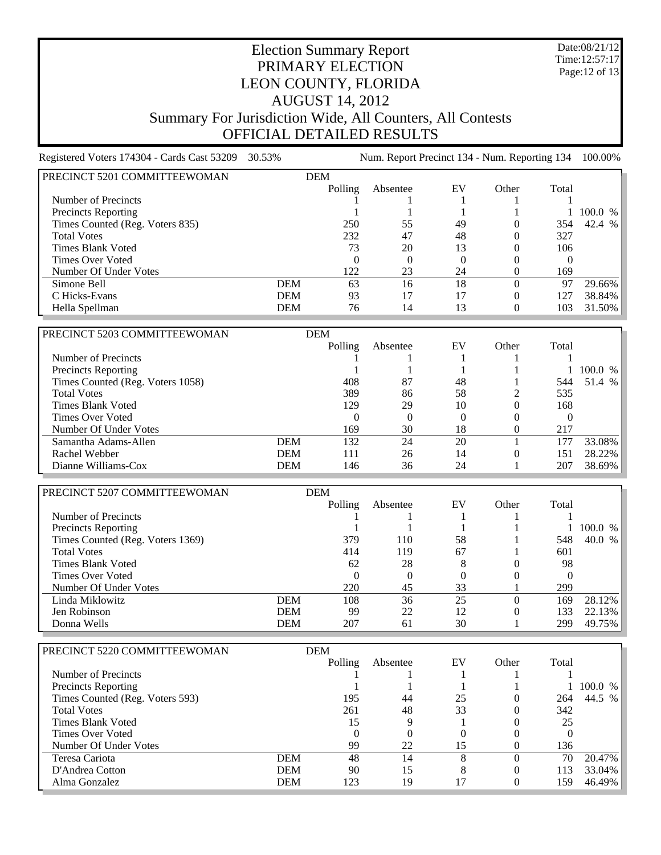Date:08/21/12 Time:12:57:17 Page:12 of 13

# Election Summary Report PRIMARY ELECTION LEON COUNTY, FLORIDA AUGUST 14, 2012 Summary For Jurisdiction Wide, All Counters, All Contests OFFICIAL DETAILED RESULTS

Registered Voters 174304 - Cards Cast 53209 30.53% Num. Report Precinct 134 - Num. Reporting 134 100.00% PRECINCT 5201 COMMITTEEWOMAN DEM Polling Absentee EV Other Total Number of Precincts and the contract of Precincts and the contract of the contract of  $1 \t 1 \t 1 \t 1 \t 1$ Precincts Reporting 1 1 1 1 100.0 %<br>
Times Counted (Reg. Voters 835) 250 55 49 0 354 42.4 % Times Counted (Reg. Voters 835) 250 55 49 0 Total Votes 232 47 48 0 327 Times Blank Voted 23 20 13 0 106 Times Over Voted and the contract of the contract of the contract of the contract of the contract of the contract of the contract of the contract of the contract of the contract of the contract of the contract of the contr Number Of Under Votes 122 23 24 0 169 Simone Bell **DEM** 63 16 18 0 97 29.66% C Hicks-Evans **DEM** 93 17 17 0 127 38.84% Hella Spellman **DEM** 76 14 13 0 103 31.50% PRECINCT 5203 COMMITTEEWOMAN DEM

|     | Polling | Absentee | EV | Other    | Total           |         |
|-----|---------|----------|----|----------|-----------------|---------|
|     |         |          |    |          |                 |         |
|     |         |          |    |          |                 | 100.0 % |
|     | 408     | 87       | 48 |          | 544             | 51.4 %  |
|     | 389     | 86       | 58 |          | 535             |         |
|     | 129     | 29       | 10 |          | 168             |         |
|     |         |          | 0  | $\theta$ |                 |         |
|     | 169     | 30       | 18 |          | 217             |         |
| DEM | 132     | 24       | 20 |          |                 | 33.08%  |
| DEM | 111     | 26       | 14 | 0        | 15 <sup>1</sup> | 28.22%  |
| DEM | 146     | 36       | 24 |          | 207             | 38.69%  |
|     |         |          |    | பப்ப     |                 |         |

| PRECINCT 5207 COMMITTEEWOMAN     |            | <b>DEM</b> |          |    |       |       |         |
|----------------------------------|------------|------------|----------|----|-------|-------|---------|
|                                  |            | Polling    | Absentee | EV | Other | Total |         |
| Number of Precincts              |            |            |          |    |       |       |         |
| <b>Precincts Reporting</b>       |            |            |          |    |       |       | 100.0 % |
| Times Counted (Reg. Voters 1369) |            | 379        | 110      | 58 |       | 548   | 40.0 %  |
| <b>Total Votes</b>               |            | 414        | 119      | 67 |       | 601   |         |
| Times Blank Voted                |            | 62         | 28       | 8  |       | 98    |         |
| Times Over Voted                 |            | 0          |          |    |       |       |         |
| Number Of Under Votes            |            | 220        | 45       | 33 |       | 299   |         |
| Linda Miklowitz                  | <b>DEM</b> | 108        | 36       | 25 |       | 169   | 28.12%  |
| Jen Robinson                     | <b>DEM</b> | 99         | 22       | 12 |       | 133   | 22.13%  |
| Donna Wells                      | <b>DEM</b> | 207        | 61       | 30 |       | 299   | 49.75%  |

| PRECINCT 5220 COMMITTEEWOMAN    |            | <b>DEM</b> |          |          |       |       |         |
|---------------------------------|------------|------------|----------|----------|-------|-------|---------|
|                                 |            | Polling    | Absentee | EV       | Other | Total |         |
| Number of Precincts             |            |            |          |          |       |       |         |
| <b>Precincts Reporting</b>      |            |            |          |          |       |       | 100.0 % |
| Times Counted (Reg. Voters 593) |            | 195        | 44       | 25       |       | 264   | 44.5 %  |
| <b>Total Votes</b>              |            | 261        | 48       | 33       |       | 342   |         |
| Times Blank Voted               |            | 15         |          |          |       | 25    |         |
| Times Over Voted                |            | U          |          | $\theta$ |       |       |         |
| Number Of Under Votes           |            | 99         | 22       | 15       |       | 136   |         |
| Teresa Cariota                  | <b>DEM</b> | 48         | 14       | 8        |       | 70    | 20.47%  |
| D'Andrea Cotton                 | <b>DEM</b> | 90         | 15       | 8        |       |       | 33.04%  |
| Alma Gonzalez                   | <b>DEM</b> | 123        | 19       |          |       | .59   | 46.49%  |